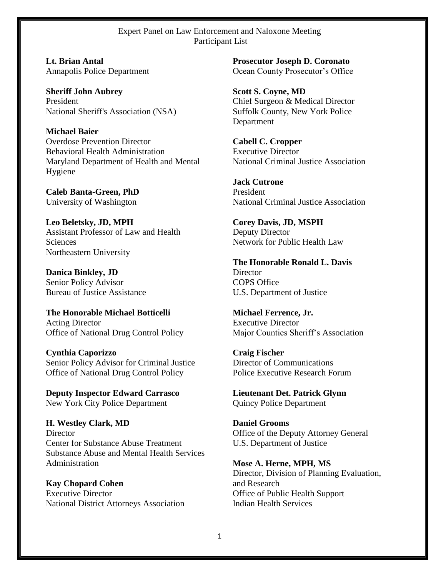## Expert Panel on Law Enforcement and Naloxone Meeting Participant List

**Lt. Brian Antal**  Annapolis Police Department

**Sheriff John Aubrey**  President National Sheriff's Association (NSA)

**Michael Baier**  Overdose Prevention Director Behavioral Health Administration Maryland Department of Health and Mental Hygiene

**Caleb Banta-Green, PhD**  University of Washington

**Leo Beletsky, JD, MPH**  Assistant Professor of Law and Health **Sciences** Northeastern University

**Danica Binkley, JD**  Senior Policy Advisor Bureau of Justice Assistance

**The Honorable Michael Botticelli**  Acting Director Office of National Drug Control Policy

**Cynthia Caporizzo**  Senior Policy Advisor for Criminal Justice Office of National Drug Control Policy

**Deputy Inspector Edward Carrasco**  New York City Police Department

**H. Westley Clark, MD Director** Center for Substance Abuse Treatment Substance Abuse and Mental Health Services Administration

**Kay Chopard Cohen**  Executive Director National District Attorneys Association **Prosecutor Joseph D. Coronato**  Ocean County Prosecutor's Office

**Scott S. Coyne, MD**  Chief Surgeon & Medical Director Suffolk County, New York Police Department

**Cabell C. Cropper**  Executive Director National Criminal Justice Association

**Jack Cutrone**  President National Criminal Justice Association

**Corey Davis, JD, MSPH**  Deputy Director Network for Public Health Law

**The Honorable Ronald L. Davis Director** COPS Office U.S. Department of Justice

**Michael Ferrence, Jr.**  Executive Director Major Counties Sheriff's Association

**Craig Fischer**  Director of Communications Police Executive Research Forum

**Lieutenant Det. Patrick Glynn**  Quincy Police Department

**Daniel Grooms**  Office of the Deputy Attorney General U.S. Department of Justice

**Mose A. Herne, MPH, MS**  Director, Division of Planning Evaluation, and Research Office of Public Health Support Indian Health Services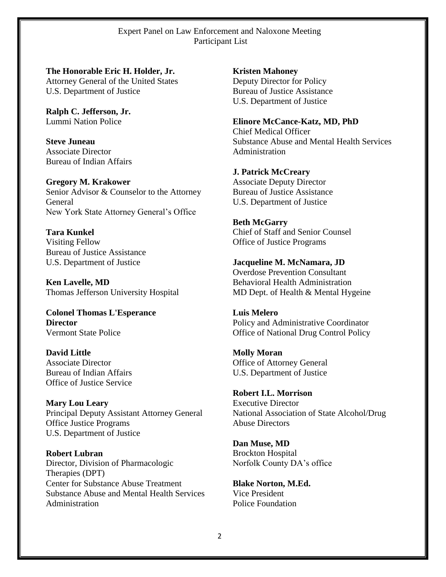Expert Panel on Law Enforcement and Naloxone Meeting Participant List

**The Honorable Eric H. Holder, Jr.** Attorney General of the United States U.S. Department of Justice

**Ralph C. Jefferson, Jr.** Lummi Nation Police

**Steve Juneau**  Associate Director Bureau of Indian Affairs

**Gregory M. Krakower** Senior Advisor & Counselor to the Attorney General New York State Attorney General's Office

**Tara Kunkel**  Visiting Fellow Bureau of Justice Assistance U.S. Department of Justice

**Ken Lavelle, MD** Thomas Jefferson University Hospital

**Colonel Thomas L'Esperance Director** Vermont State Police

**David Little** Associate Director Bureau of Indian Affairs Office of Justice Service

**Mary Lou Leary**  Principal Deputy Assistant Attorney General Office Justice Programs U.S. Department of Justice

**Robert Lubran** Director, Division of Pharmacologic Therapies (DPT) Center for Substance Abuse Treatment Substance Abuse and Mental Health Services Administration

**Kristen Mahoney**  Deputy Director for Policy Bureau of Justice Assistance U.S. Department of Justice

**Elinore McCance-Katz, MD, PhD** Chief Medical Officer Substance Abuse and Mental Health Services Administration

**J. Patrick McCreary**  Associate Deputy Director Bureau of Justice Assistance U.S. Department of Justice

**Beth McGarry**  Chief of Staff and Senior Counsel Office of Justice Programs

**Jacqueline M. McNamara, JD** Overdose Prevention Consultant Behavioral Health Administration MD Dept. of Health & Mental Hygeine

**Luis Melero**  Policy and Administrative Coordinator Office of National Drug Control Policy

**Molly Moran** Office of Attorney General U.S. Department of Justice

**Robert I.L. Morrison**  Executive Director National Association of State Alcohol/Drug Abuse Directors

**Dan Muse, MD** Brockton Hospital Norfolk County DA's office

**Blake Norton, M.Ed.** Vice President Police Foundation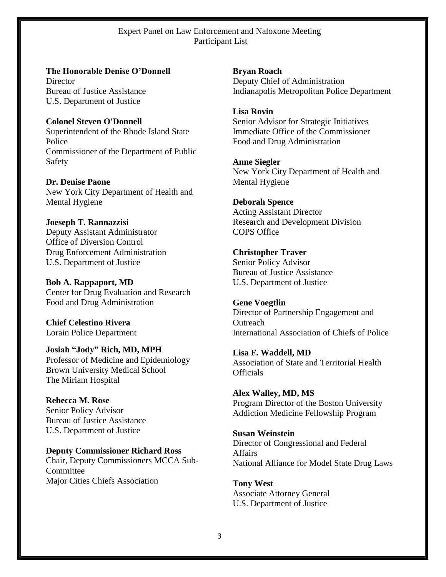Expert Panel on Law Enforcement and Naloxone Meeting Participant List

**The Honorable Denise O'Donnell Director** Bureau of Justice Assistance U.S. Department of Justice

**Colonel Steven O'Donnell**  Superintendent of the Rhode Island State Police Commissioner of the Department of Public Safety

**Dr. Denise Paone**  New York City Department of Health and Mental Hygiene

**Joeseph T. Rannazzisi**  Deputy Assistant Administrator Office of Diversion Control Drug Enforcement Administration U.S. Department of Justice

**Bob A. Rappaport, MD** Center for Drug Evaluation and Research Food and Drug Administration

**Chief Celestino Rivera**  Lorain Police Department

**Josiah "Jody" Rich, MD, MPH** Professor of Medicine and Epidemiology Brown University Medical School The Miriam Hospital

**Rebecca M. Rose**  Senior Policy Advisor Bureau of Justice Assistance U.S. Department of Justice

**Deputy Commissioner Richard Ross** Chair, Deputy Commissioners MCCA Sub-Committee Major Cities Chiefs Association

**Bryan Roach**  Deputy Chief of Administration Indianapolis Metropolitan Police Department

**Lisa Rovin**  Senior Advisor for Strategic Initiatives Immediate Office of the Commissioner Food and Drug Administration

**Anne Siegler**  New York City Department of Health and Mental Hygiene

**Deborah Spence**  Acting Assistant Director Research and Development Division COPS Office

**Christopher Traver**  Senior Policy Advisor Bureau of Justice Assistance U.S. Department of Justice

**Gene Voegtlin** Director of Partnership Engagement and **Outreach** International Association of Chiefs of Police

**Lisa F. Waddell, MD** Association of State and Territorial Health **Officials** 

**Alex Walley, MD, MS** Program Director of the Boston University Addiction Medicine Fellowship Program

**Susan Weinstein**  Director of Congressional and Federal Affairs National Alliance for Model State Drug Laws

**Tony West** Associate Attorney General U.S. Department of Justice